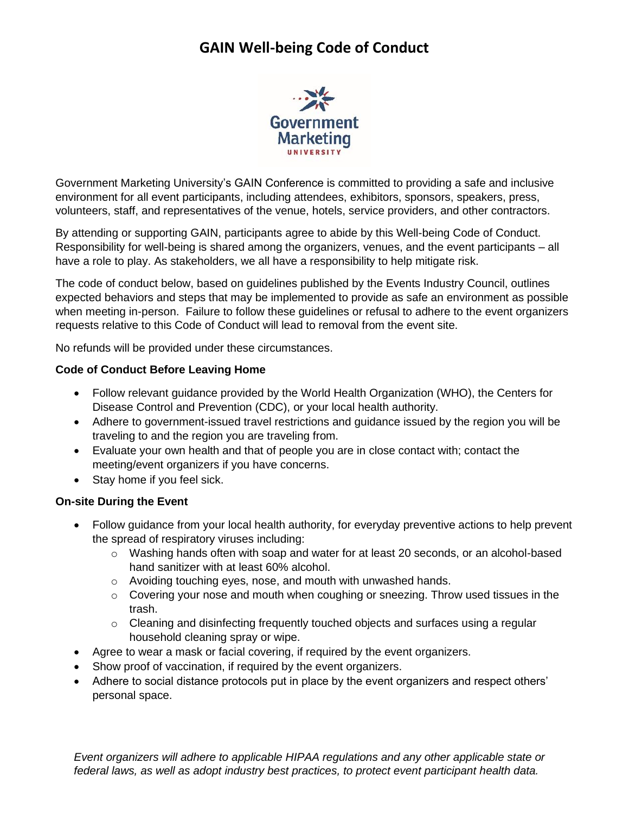# **GAIN Well-being Code of Conduct**



Government Marketing University's GAIN Conference is committed to providing a safe and inclusive environment for all event participants, including attendees, exhibitors, sponsors, speakers, press, volunteers, staff, and representatives of the venue, hotels, service providers, and other contractors.

By attending or supporting GAIN, participants agree to abide by this Well-being Code of Conduct. Responsibility for well-being is shared among the organizers, venues, and the event participants – all have a role to play. As stakeholders, we all have a responsibility to help mitigate risk.

The code of conduct below, based on guidelines published by the Events Industry Council, outlines expected behaviors and steps that may be implemented to provide as safe an environment as possible when meeting in-person. Failure to follow these guidelines or refusal to adhere to the event organizers requests relative to this Code of Conduct will lead to removal from the event site.

No refunds will be provided under these circumstances.

### **Code of Conduct Before Leaving Home**

- Follow relevant guidance provided by the World Health Organization (WHO), the Centers for Disease Control and Prevention (CDC), or your local health authority.
- Adhere to government-issued travel restrictions and guidance issued by the region you will be traveling to and the region you are traveling from.
- Evaluate your own health and that of people you are in close contact with; contact the meeting/event organizers if you have concerns.
- Stay home if you feel sick.

### **On-site During the Event**

- Follow guidance from your local health authority, for everyday preventive actions to help prevent the spread of respiratory viruses including:
	- $\circ$  Washing hands often with soap and water for at least 20 seconds, or an alcohol-based hand sanitizer with at least 60% alcohol.
	- o Avoiding touching eyes, nose, and mouth with unwashed hands.
	- $\circ$  Covering your nose and mouth when coughing or sneezing. Throw used tissues in the trash.
	- $\circ$  Cleaning and disinfecting frequently touched objects and surfaces using a regular household cleaning spray or wipe.
- Agree to wear a mask or facial covering, if required by the event organizers.
- Show proof of vaccination, if required by the event organizers.
- Adhere to social distance protocols put in place by the event organizers and respect others' personal space.

*Event organizers will adhere to applicable HIPAA regulations and any other applicable state or federal laws, as well as adopt industry best practices, to protect event participant health data.*